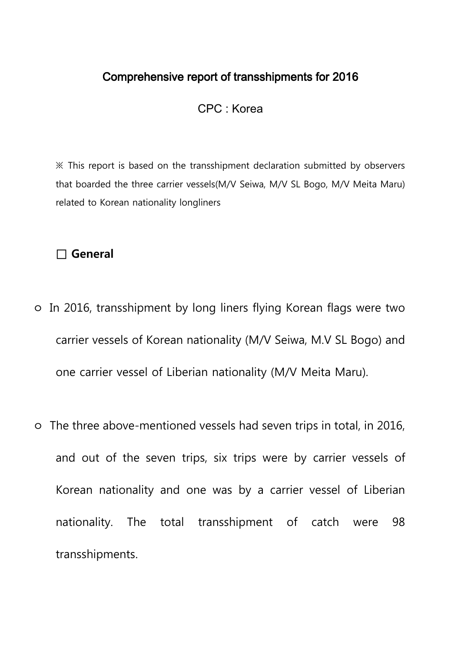## Comprehensive report of transshipments for 2016

CPC : Korea

※ This report is based on the transshipment declaration submitted by observers that boarded the three carrier vessels(M/V Seiwa, M/V SL Bogo, M/V Meita Maru) related to Korean nationality longliners

### □ **General**

- ㅇ In 2016, transshipment by long liners flying Korean flags were two carrier vessels of Korean nationality (M/V Seiwa, M.V SL Bogo) and one carrier vessel of Liberian nationality (M/V Meita Maru).
- ㅇ The three above-mentioned vessels had seven trips in total, in 2016, and out of the seven trips, six trips were by carrier vessels of Korean nationality and one was by a carrier vessel of Liberian nationality. The total transshipment of catch were 98 transshipments.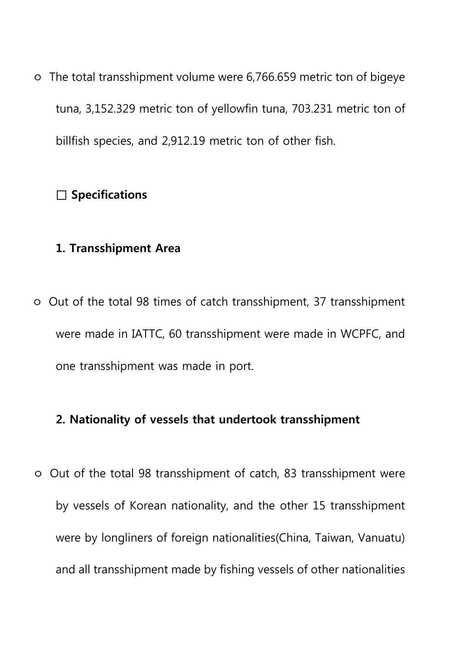ㅇ The total transshipment volume were 6,766.659 metric ton of bigeye tuna, 3,152.329 metric ton of yellowfin tuna, 703.231 metric ton of billfish species, and 2,912.19 metric ton of other fish.

## **□ Specifications**

## **1. Transshipment Area**

ㅇ Out of the total 98 times of catch transshipment, 37 transshipment were made in IATTC, 60 transshipment were made in WCPFC, and one transshipment was made in port.

## **2. Nationality of vessels that undertook transshipment**

ㅇ Out of the total 98 transshipment of catch, 83 transshipment were by vessels of Korean nationality, and the other 15 transshipment were by longliners of foreign nationalities(China, Taiwan, Vanuatu) and all transshipment made by fishing vessels of other nationalities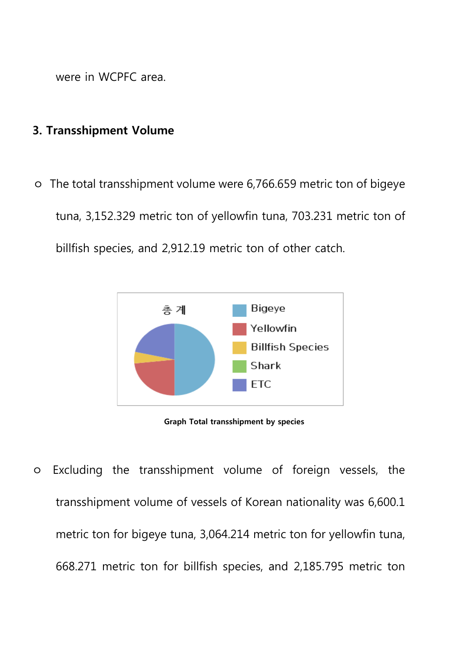were in WCPFC area.

### **3. Transshipment Volume**

ㅇ The total transshipment volume were 6,766.659 metric ton of bigeye tuna, 3,152.329 metric ton of yellowfin tuna, 703.231 metric ton of billfish species, and 2,912.19 metric ton of other catch.



**Graph Total transshipment by species** 

ㅇ Excluding the transshipment volume of foreign vessels, the transshipment volume of vessels of Korean nationality was 6,600.1 metric ton for bigeye tuna, 3,064.214 metric ton for yellowfin tuna, 668.271 metric ton for billfish species, and 2,185.795 metric ton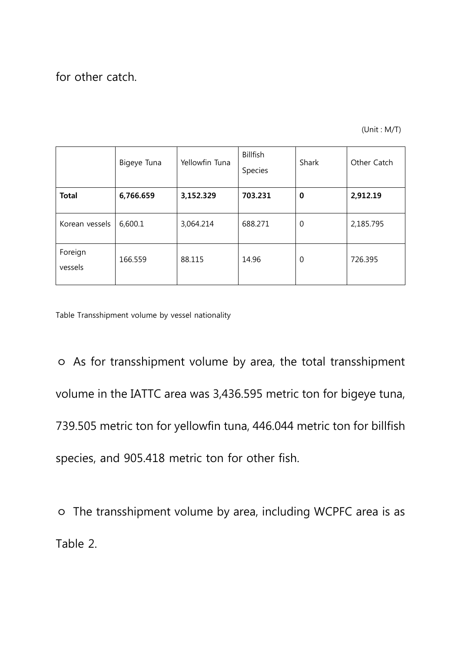for other catch.

(Unit : M/T)

|                    | Bigeye Tuna | Yellowfin Tuna | Billfish<br>Species | Shark       | Other Catch |
|--------------------|-------------|----------------|---------------------|-------------|-------------|
| <b>Total</b>       | 6,766.659   | 3,152.329      | 703.231             | $\bf{0}$    | 2,912.19    |
| Korean vessels     | 6,600.1     | 3,064.214      | 688.271             | 0           | 2,185.795   |
| Foreign<br>vessels | 166.559     | 88.115         | 14.96               | $\mathbf 0$ | 726.395     |

Table Transshipment volume by vessel nationality

ㅇ As for transshipment volume by area, the total transshipment volume in the IATTC area was 3,436.595 metric ton for bigeye tuna, 739.505 metric ton for yellowfin tuna, 446.044 metric ton for billfish species, and 905.418 metric ton for other fish.

ㅇ The transshipment volume by area, including WCPFC area is as Table 2.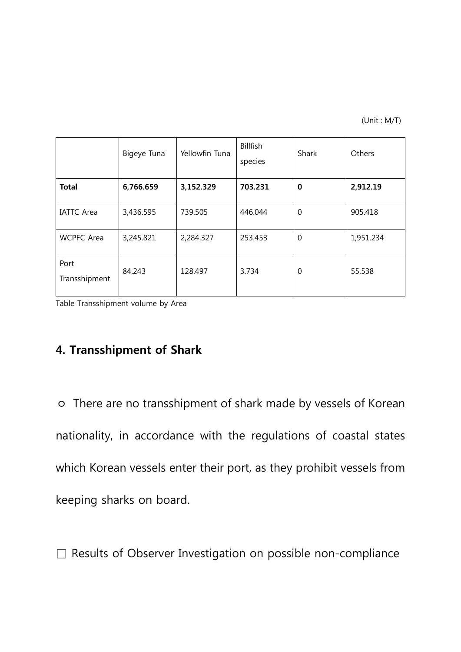(Unit : M/T)

|                       | Bigeye Tuna | Yellowfin Tuna | <b>Billfish</b><br>species | Shark    | Others    |
|-----------------------|-------------|----------------|----------------------------|----------|-----------|
| <b>Total</b>          | 6,766.659   | 3,152.329      | 703.231                    | $\bf{0}$ | 2,912.19  |
| <b>IATTC Area</b>     | 3,436.595   | 739.505        | 446.044                    | 0        | 905.418   |
| <b>WCPFC</b> Area     | 3,245.821   | 2,284.327      | 253.453                    | 0        | 1,951.234 |
| Port<br>Transshipment | 84.243      | 128.497        | 3.734                      | 0        | 55.538    |

Table Transshipment volume by Area

# **4. Transshipment of Shark**

ㅇ There are no transshipment of shark made by vessels of Korean nationality, in accordance with the regulations of coastal states which Korean vessels enter their port, as they prohibit vessels from keeping sharks on board.

□ Results of Observer Investigation on possible non-compliance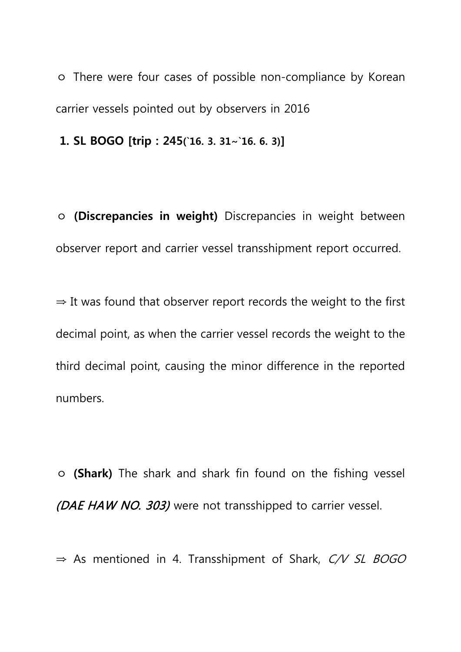ㅇ There were four cases of possible non-compliance by Korean carrier vessels pointed out by observers in 2016

**1. SL BOGO [trip : 245(`16. 3. 31∼`16. 6. 3)]**

ㅇ **(Discrepancies in weight)** Discrepancies in weight between observer report and carrier vessel transshipment report occurred.

 $\Rightarrow$  It was found that observer report records the weight to the first decimal point, as when the carrier vessel records the weight to the third decimal point, causing the minor difference in the reported numbers.

ㅇ **(Shark)** The shark and shark fin found on the fishing vessel (DAE HAW NO. 303) were not transshipped to carrier vessel.

⇒ As mentioned in 4. Transshipment of Shark, C/V SL BOGO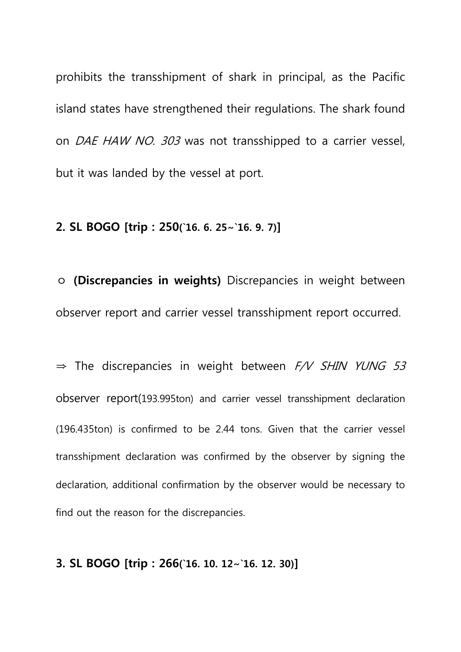prohibits the transshipment of shark in principal, as the Pacific island states have strengthened their regulations. The shark found on *DAE HAW NO. 303* was not transshipped to a carrier vessel, but it was landed by the vessel at port.

### **2. SL BOGO [trip : 250(`16. 6. 25∼`16. 9. 7)]**

ㅇ **(Discrepancies in weights)** Discrepancies in weight between observer report and carrier vessel transshipment report occurred.

 $\Rightarrow$  The discrepancies in weight between  $F/V$  SHIN YUNG 53 observer report(193.995ton) and carrier vessel transshipment declaration (196.435ton) is confirmed to be 2.44 tons. Given that the carrier vessel transshipment declaration was confirmed by the observer by signing the declaration, additional confirmation by the observer would be necessary to find out the reason for the discrepancies.

#### **3. SL BOGO [trip : 266(`16. 10. 12∼`16. 12. 30)]**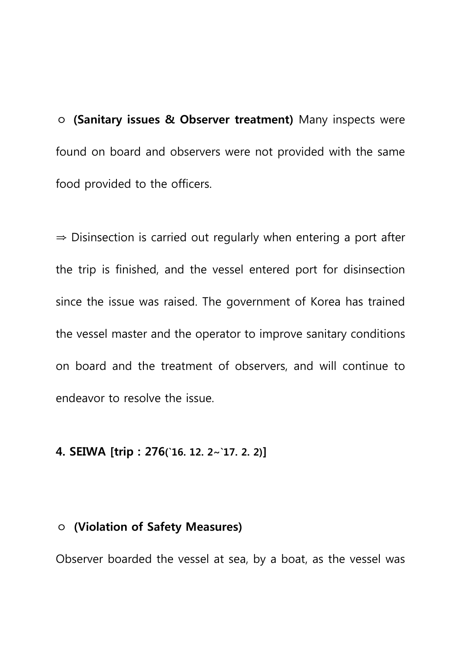ㅇ **(Sanitary issues & Observer treatment)** Many inspects were found on board and observers were not provided with the same food provided to the officers.

⇒ Disinsection is carried out regularly when entering a port after the trip is finished, and the vessel entered port for disinsection since the issue was raised. The government of Korea has trained the vessel master and the operator to improve sanitary conditions on board and the treatment of observers, and will continue to endeavor to resolve the issue.

## **4. SEIWA [trip : 276(`16. 12. 2∼`17. 2. 2)]**

### ㅇ **(Violation of Safety Measures)**

Observer boarded the vessel at sea, by a boat, as the vessel was